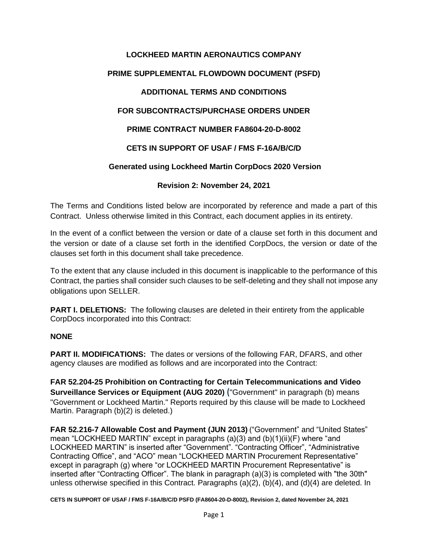# **LOCKHEED MARTIN AERONAUTICS COMPANY PRIME SUPPLEMENTAL FLOWDOWN DOCUMENT (PSFD) ADDITIONAL TERMS AND CONDITIONS FOR SUBCONTRACTS/PURCHASE ORDERS UNDER PRIME CONTRACT NUMBER FA8604-20-D-8002 CETS IN SUPPORT OF USAF / FMS F-16A/B/C/D Generated using Lockheed Martin CorpDocs 2020 Version Revision 2: November 24, 2021**

The Terms and Conditions listed below are incorporated by reference and made a part of this Contract. Unless otherwise limited in this Contract, each document applies in its entirety.

In the event of a conflict between the version or date of a clause set forth in this document and the version or date of a clause set forth in the identified CorpDocs, the version or date of the clauses set forth in this document shall take precedence.

To the extent that any clause included in this document is inapplicable to the performance of this Contract, the parties shall consider such clauses to be self-deleting and they shall not impose any obligations upon SELLER.

**PART I. DELETIONS:** The following clauses are deleted in their entirety from the applicable CorpDocs incorporated into this Contract:

#### **NONE**

**PART II. MODIFICATIONS:** The dates or versions of the following FAR, DFARS, and other agency clauses are modified as follows and are incorporated into the Contract:

**FAR 52.204-25 Prohibition on Contracting for Certain Telecommunications and Video Surveillance Services or Equipment (AUG 2020)** ("Government" in paragraph (b) means "Government or Lockheed Martin." Reports required by this clause will be made to Lockheed Martin. Paragraph (b)(2) is deleted.)

**FAR 52.216-7 Allowable Cost and Payment (JUN 2013)** ("Government" and "United States" mean "LOCKHEED MARTIN" except in paragraphs (a)(3) and (b)(1)(ii)(F) where "and LOCKHEED MARTIN" is inserted after "Government". "Contracting Officer", "Administrative Contracting Office", and "ACO" mean "LOCKHEED MARTIN Procurement Representative" except in paragraph (g) where "or LOCKHEED MARTIN Procurement Representative" is inserted after "Contracting Officer". The blank in paragraph (a)(3) is completed with "the 30th" unless otherwise specified in this Contract. Paragraphs (a)(2), (b)(4), and (d)(4) are deleted. In

**CETS IN SUPPORT OF USAF / FMS F-16A/B/C/D PSFD (FA8604-20-D-8002), Revision 2, dated November 24, 2021**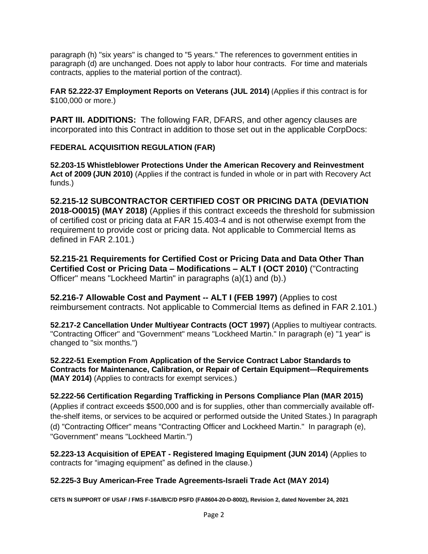paragraph (h) "six years" is changed to "5 years." The references to government entities in paragraph (d) are unchanged. Does not apply to labor hour contracts. For time and materials contracts, applies to the material portion of the contract).

**FAR 52.222-37 Employment Reports on Veterans (JUL 2014)** (Applies if this contract is for \$100,000 or more.)

**PART III. ADDITIONS:** The following FAR, DFARS, and other agency clauses are incorporated into this Contract in addition to those set out in the applicable CorpDocs:

# **FEDERAL ACQUISITION REGULATION (FAR)**

**52.203-15 Whistleblower Protections Under the American Recovery and Reinvestment Act of 2009 (JUN 2010)** (Applies if the contract is funded in whole or in part with Recovery Act funds.)

**52.215-12 SUBCONTRACTOR CERTIFIED COST OR PRICING DATA (DEVIATION 2018-O0015) (MAY 2018)** (Applies if this contract exceeds the threshold for submission of certified cost or pricing data at FAR 15.403-4 and is not otherwise exempt from the requirement to provide cost or pricing data. Not applicable to Commercial Items as defined in FAR 2.101.)

**52.215-21 Requirements for Certified Cost or Pricing Data and Data Other Than Certified Cost or Pricing Data – Modifications – ALT I (OCT 2010)** ("Contracting Officer" means "Lockheed Martin" in paragraphs (a)(1) and (b).)

**52.216-7 Allowable Cost and Payment -- ALT I (FEB 1997)** (Applies to cost reimbursement contracts. Not applicable to Commercial Items as defined in FAR 2.101.)

**52.217-2 Cancellation Under Multiyear Contracts (OCT 1997)** (Applies to multiyear contracts. "Contracting Officer" and "Government" means "Lockheed Martin." In paragraph (e) "1 year" is changed to "six months.")

**52.222-51 Exemption From Application of the Service Contract Labor Standards to Contracts for Maintenance, Calibration, or Repair of Certain Equipment—Requirements (MAY 2014)** (Applies to contracts for exempt services.)

# **52.222-56 Certification Regarding Trafficking in Persons Compliance Plan (MAR 2015)**

(Applies if contract exceeds \$500,000 and is for supplies, other than commercially available offthe-shelf items, or services to be acquired or performed outside the United States.) In paragraph (d) "Contracting Officer" means "Contracting Officer and Lockheed Martin." In paragraph (e), "Government" means "Lockheed Martin.")

**52.223-13 Acquisition of EPEAT - Registered Imaging Equipment (JUN 2014)** (Applies to contracts for "imaging equipment" as defined in the clause.)

# **52.225-3 Buy American-Free Trade Agreements-Israeli Trade Act (MAY 2014)**

**CETS IN SUPPORT OF USAF / FMS F-16A/B/C/D PSFD (FA8604-20-D-8002), Revision 2, dated November 24, 2021**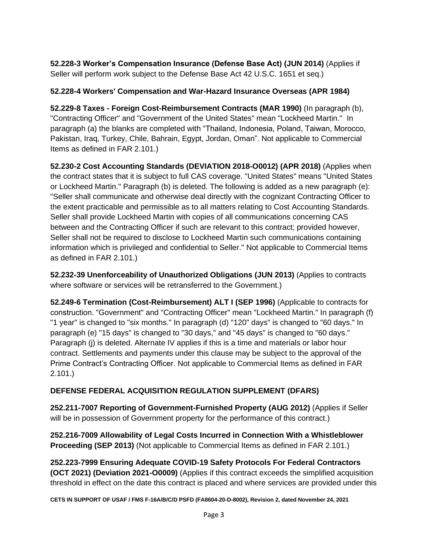**52.228-3 Worker's Compensation Insurance (Defense Base Act) (JUN 2014)** (Applies if Seller will perform work subject to the Defense Base Act 42 U.S.C. 1651 et seq.)

# **52.228-4 Workers' Compensation and War-Hazard Insurance Overseas (APR 1984)**

**52.229-8 Taxes - Foreign Cost-Reimbursement Contracts (MAR 1990)** (In paragraph (b), "Contracting Officer" and "Government of the United States" mean "Lockheed Martin." In paragraph (a) the blanks are completed with "Thailand, Indonesia, Poland, Taiwan, Morocco, Pakistan, Iraq, Turkey, Chile, Bahrain, Egypt, Jordan, Oman". Not applicable to Commercial Items as defined in FAR 2.101.)

**52.230-2 Cost Accounting Standards (DEVIATION 2018-O0012) (APR 2018)** (Applies when the contract states that it is subject to full CAS coverage. "United States" means "United States or Lockheed Martin." Paragraph (b) is deleted. The following is added as a new paragraph (e): "Seller shall communicate and otherwise deal directly with the cognizant Contracting Officer to the extent practicable and permissible as to all matters relating to Cost Accounting Standards. Seller shall provide Lockheed Martin with copies of all communications concerning CAS between and the Contracting Officer if such are relevant to this contract; provided however, Seller shall not be required to disclose to Lockheed Martin such communications containing information which is privileged and confidential to Seller." Not applicable to Commercial Items as defined in FAR 2.101.)

**52.232-39 Unenforceability of Unauthorized Obligations (JUN 2013)** (Applies to contracts where software or services will be retransferred to the Government.)

**52.249-6 Termination (Cost-Reimbursement) ALT I (SEP 1996)** (Applicable to contracts for construction. "Government" and "Contracting Officer" mean "Lockheed Martin." In paragraph (f) "1 year" is changed to "six months." In paragraph (d) "120" days" is changed to "60 days." In paragraph (e) "15 days" is changed to "30 days," and "45 days" is changed to "60 days." Paragraph (j) is deleted. Alternate IV applies if this is a time and materials or labor hour contract. Settlements and payments under this clause may be subject to the approval of the Prime Contract's Contracting Officer. Not applicable to Commercial Items as defined in FAR 2.101.)

# **DEFENSE FEDERAL ACQUISITION REGULATION SUPPLEMENT (DFARS)**

**252.211-7007 Reporting of Government-Furnished Property (AUG 2012)** (Applies if Seller will be in possession of Government property for the performance of this contract.)

**252.216-7009 Allowability of Legal Costs Incurred in Connection With a Whistleblower Proceeding (SEP 2013)** (Not applicable to Commercial Items as defined in FAR 2.101.)

**252.223-7999 Ensuring Adequate COVID-19 Safety Protocols For Federal Contractors (OCT 2021) (Deviation 2021-O0009)** (Applies if this contract exceeds the simplified acquisition threshold in effect on the date this contract is placed and where services are provided under this

**CETS IN SUPPORT OF USAF / FMS F-16A/B/C/D PSFD (FA8604-20-D-8002), Revision 2, dated November 24, 2021**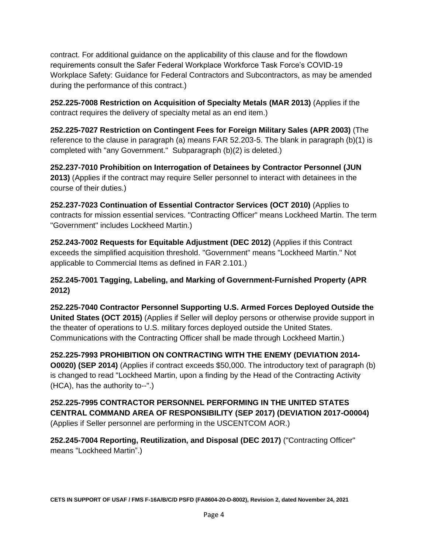contract. For additional guidance on the applicability of this clause and for the flowdown requirements consult the Safer Federal Workplace Workforce Task Force's COVID-19 Workplace Safety: Guidance for Federal Contractors and Subcontractors, as may be amended during the performance of this contract.)

**252.225-7008 Restriction on Acquisition of Specialty Metals (MAR 2013)** (Applies if the contract requires the delivery of specialty metal as an end item.)

**252.225-7027 Restriction on Contingent Fees for Foreign Military Sales (APR 2003)** (The reference to the clause in paragraph (a) means FAR 52.203-5. The blank in paragraph (b)(1) is completed with "any Government." Subparagraph (b)(2) is deleted.)

**252.237-7010 Prohibition on Interrogation of Detainees by Contractor Personnel (JUN 2013)** (Applies if the contract may require Seller personnel to interact with detainees in the course of their duties.)

**252.237-7023 Continuation of Essential Contractor Services (OCT 2010)** (Applies to contracts for mission essential services. "Contracting Officer" means Lockheed Martin. The term "Government" includes Lockheed Martin.)

**252.243-7002 Requests for Equitable Adjustment (DEC 2012)** (Applies if this Contract exceeds the simplified acquisition threshold. "Government" means "Lockheed Martin." Not applicable to Commercial Items as defined in FAR 2.101.)

# **252.245-7001 Tagging, Labeling, and Marking of Government-Furnished Property (APR 2012)**

**252.225-7040 Contractor Personnel Supporting U.S. Armed Forces Deployed Outside the United States (OCT 2015)** (Applies if Seller will deploy persons or otherwise provide support in the theater of operations to U.S. military forces deployed outside the United States. Communications with the Contracting Officer shall be made through Lockheed Martin.)

**252.225-7993 PROHIBITION ON CONTRACTING WITH THE ENEMY (DEVIATION 2014- O0020) (SEP 2014)** (Applies if contract exceeds \$50,000. The introductory text of paragraph (b) is changed to read "Lockheed Martin, upon a finding by the Head of the Contracting Activity (HCA), has the authority to--".)

**252.225-7995 CONTRACTOR PERSONNEL PERFORMING IN THE UNITED STATES CENTRAL COMMAND AREA OF RESPONSIBILITY (SEP 2017) (DEVIATION 2017-O0004)** (Applies if Seller personnel are performing in the USCENTCOM AOR.)

**252.245-7004 Reporting, Reutilization, and Disposal (DEC 2017)** ("Contracting Officer" means "Lockheed Martin".)